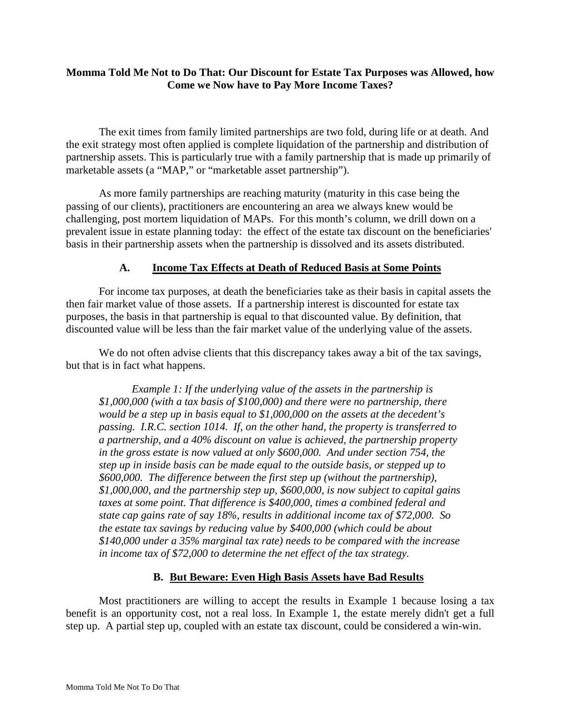## **Momma Told Me Not to Do That: Our Discount for Estate Tax Purposes was Allowed, how Come we Now have to Pay More Income Taxes?**

The exit times from family limited partnerships are two fold, during life or at death. And the exit strategy most often applied is complete liquidation of the partnership and distribution of partnership assets. This is particularly true with a family partnership that is made up primarily of marketable assets (a "MAP," or "marketable asset partnership").

As more family partnerships are reaching maturity (maturity in this case being the passing of our clients), practitioners are encountering an area we always knew would be challenging, post mortem liquidation of MAPs. For this month's column, we drill down on a prevalent issue in estate planning today: the effect of the estate tax discount on the beneficiaries' basis in their partnership assets when the partnership is dissolved and its assets distributed.

## **A. Income Tax Effects at Death of Reduced Basis at Some Points**

For income tax purposes, at death the beneficiaries take as their basis in capital assets the then fair market value of those assets. If a partnership interest is discounted for estate tax purposes, the basis in that partnership is equal to that discounted value. By definition, that discounted value will be less than the fair market value of the underlying value of the assets.

We do not often advise clients that this discrepancy takes away a bit of the tax savings, but that is in fact what happens.

*Example 1: If the underlying value of the assets in the partnership is \$1,000,000 (with a tax basis of \$100,000) and there were no partnership, there would be a step up in basis equal to \$1,000,000 on the assets at the decedent's passing. I.R.C. section 1014. If, on the other hand, the property is transferred to a partnership, and a 40% discount on value is achieved, the partnership property in the gross estate is now valued at only \$600,000. And under section 754, the step up in inside basis can be made equal to the outside basis, or stepped up to \$600,000. The difference between the first step up (without the partnership), \$1,000,000, and the partnership step up, \$600,000, is now subject to capital gains taxes at some point. That difference is \$400,000, times a combined federal and state cap gains rate of say 18%, results in additional income tax of \$72,000. So the estate tax savings by reducing value by \$400,000 (which could be about \$140,000 under a 35% marginal tax rate) needs to be compared with the increase in income tax of \$72,000 to determine the net effect of the tax strategy.*

## **B. But Beware: Even High Basis Assets have Bad Results**

Most practitioners are willing to accept the results in Example 1 because losing a tax benefit is an opportunity cost, not a real loss. In Example 1, the estate merely didn't get a full step up. A partial step up, coupled with an estate tax discount, could be considered a win-win.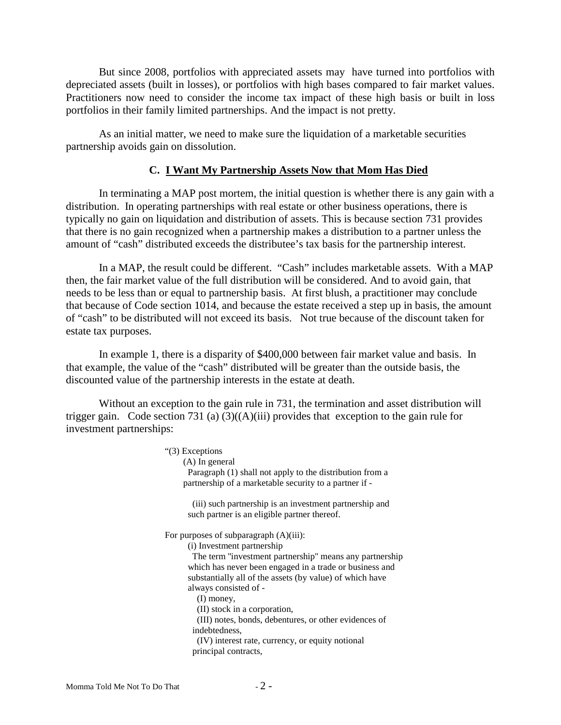But since 2008, portfolios with appreciated assets may have turned into portfolios with depreciated assets (built in losses), or portfolios with high bases compared to fair market values. Practitioners now need to consider the income tax impact of these high basis or built in loss portfolios in their family limited partnerships. And the impact is not pretty.

As an initial matter, we need to make sure the liquidation of a marketable securities partnership avoids gain on dissolution.

#### **C. I Want My Partnership Assets Now that Mom Has Died**

In terminating a MAP post mortem, the initial question is whether there is any gain with a distribution. In operating partnerships with real estate or other business operations, there is typically no gain on liquidation and distribution of assets. This is because section 731 provides that there is no gain recognized when a partnership makes a distribution to a partner unless the amount of "cash" distributed exceeds the distributee's tax basis for the partnership interest.

In a MAP, the result could be different. "Cash" includes marketable assets. With a MAP then, the fair market value of the full distribution will be considered. And to avoid gain, that needs to be less than or equal to partnership basis. At first blush, a practitioner may conclude that because of Code section 1014, and because the estate received a step up in basis, the amount of "cash" to be distributed will not exceed its basis. Not true because of the discount taken for estate tax purposes.

In example 1, there is a disparity of \$400,000 between fair market value and basis. In that example, the value of the "cash" distributed will be greater than the outside basis, the discounted value of the partnership interests in the estate at death.

Without an exception to the gain rule in 731, the termination and asset distribution will trigger gain. Code section 731 (a)  $(3)((A)(iii)$  provides that exception to the gain rule for investment partnerships:

| "(3) Exceptions                                          |
|----------------------------------------------------------|
| (A) In general                                           |
| Paragraph (1) shall not apply to the distribution from a |
| partnership of a marketable security to a partner if -   |
| (iii) such partnership is an investment partnership and  |
| such partner is an eligible partner thereof.             |
| For purposes of subparagraph $(A)(iii)$ :                |
| (i) Investment partnership                               |
| The term "investment partnership" means any partnership  |
| which has never been engaged in a trade or business and  |
| substantially all of the assets (by value) of which have |
| always consisted of -                                    |
| $(I)$ money,                                             |
| (II) stock in a corporation,                             |
| (III) notes, bonds, debentures, or other evidences of    |
| indebtedness.                                            |
| (IV) interest rate, currency, or equity notional         |
| principal contracts,                                     |
|                                                          |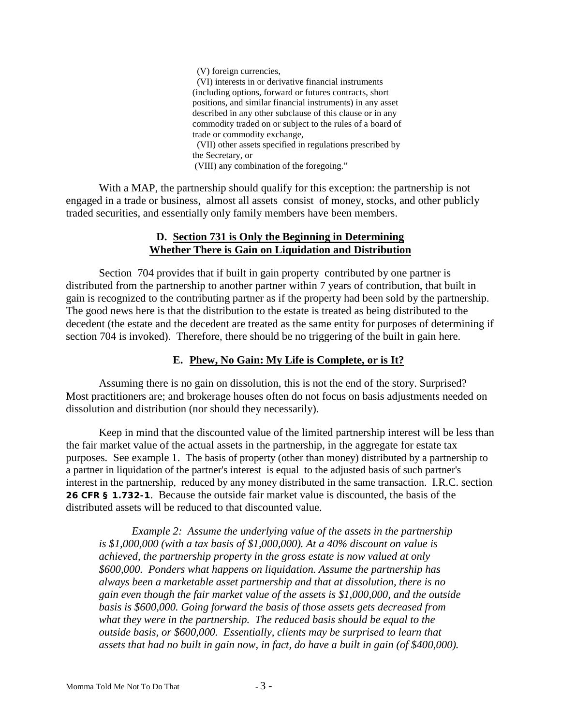(V) foreign currencies, (VI) interests in or derivative financial instruments (including options, forward or futures contracts, short positions, and similar financial instruments) in any asset described in any other subclause of this clause or in any commodity traded on or subject to the rules of a board of trade or commodity exchange, (VII) other assets specified in regulations prescribed by the Secretary, or (VIII) any combination of the foregoing."

With a MAP, the partnership should qualify for this exception: the partnership is not engaged in a trade or business, almost all assets consist of money, stocks, and other publicly traded securities, and essentially only family members have been members.

## **D. Section 731 is Only the Beginning in Determining Whether There is Gain on Liquidation and Distribution**

Section 704 provides that if built in gain property contributed by one partner is distributed from the partnership to another partner within 7 years of contribution, that built in gain is recognized to the contributing partner as if the property had been sold by the partnership. The good news here is that the distribution to the estate is treated as being distributed to the decedent (the estate and the decedent are treated as the same entity for purposes of determining if section 704 is invoked). Therefore, there should be no triggering of the built in gain here.

# **E. Phew, No Gain: My Life is Complete, or is It?**

Assuming there is no gain on dissolution, this is not the end of the story. Surprised? Most practitioners are; and brokerage houses often do not focus on basis adjustments needed on dissolution and distribution (nor should they necessarily).

Keep in mind that the discounted value of the limited partnership interest will be less than the fair market value of the actual assets in the partnership, in the aggregate for estate tax purposes*.* See example 1. The basis of property (other than money) distributed by a partnership to a partner in liquidation of the partner's interest is equal to the adjusted basis of such partner's interest in the partnership, reduced by any money distributed in the same transaction. I.R.C. section **26 CFR § 1.732-1**. Because the outside fair market value is discounted, the basis of the distributed assets will be reduced to that discounted value.

*Example 2: Assume the underlying value of the assets in the partnership is \$1,000,000 (with a tax basis of \$1,000,000). At a 40% discount on value is achieved, the partnership property in the gross estate is now valued at only \$600,000. Ponders what happens on liquidation. Assume the partnership has always been a marketable asset partnership and that at dissolution, there is no gain even though the fair market value of the assets is \$1,000,000, and the outside basis is \$600,000. Going forward the basis of those assets gets decreased from what they were in the partnership. The reduced basis should be equal to the outside basis, or \$600,000. Essentially, clients may be surprised to learn that assets that had no built in gain now, in fact, do have a built in gain (of \$400,000).*